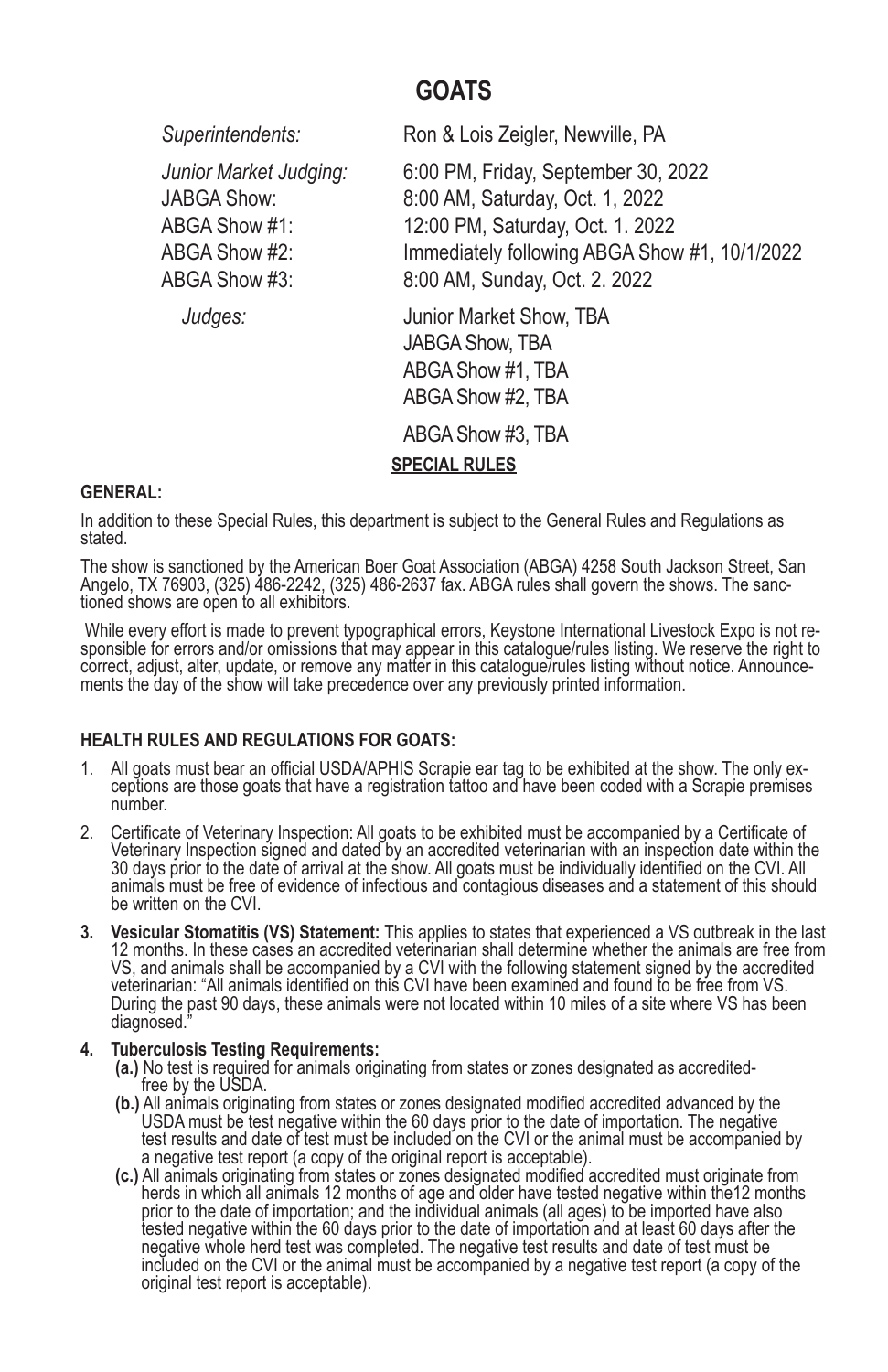# **GOATS**

*Superintendents:* Ron & Lois Zeigler, Newville, PA

*Junior Market Judging:* 6:00 PM, Friday, September 30, 2022 JABGA Show: 8:00 AM, Saturday, Oct. 1, 2022 ABGA Show #1: 12:00 PM, Saturday, Oct. 1. 2022 ABGA Show #2: Immediately following ABGA Show #1, 10/1/2022 ABGA Show #3: 8:00 AM, Sunday, Oct. 2. 2022

*Judges:* Junior Market Show, TBA JABGA Show, TBA ABGA Show #1, TBA ABGA Show #2, TBA

ABGA Show #3, TBA

**SPECIAL RULES**

# **GENERAL:**

In addition to these Special Rules, this department is subject to the General Rules and Regulations as stated.

The show is sanctioned by the American Boer Goat Association (ABGA) 4258 South Jackson Street, San Angelo, TX 76903, (325) 486-2242, (325) 486-2637 fax. ABGA rules shall govern the shows. The sanc-<br>tioned shows are open to all exhibitors.

While every effort is made to prevent typographical errors, Keystone International Livestock Expo is not re-<br>sponsible for errors and/or omissions that may appear in this catalogue/rules listing. We reserve the right to correct, adjust, alter, update, or remove any matter in this catalogue/rules listing without notice. Announce-<br>ments the day of the show will take precedence over any previously printed information.

# **HEALTH RULES AND REGULATIONS FOR GOATS:**

- 1. All goats must bear an official USDA/APHIS Scrapie ear tag to be exhibited at the show. The only ex- ceptions are those goats that have a registration tattoo and have been coded with a Scrapie premises number.
- 2. Certificate of Veterinary Inspection: All goats to be exhibited must be accompanied by a Certificate of Veterinary Inspection signed and dated by an accredited veterinarian with an inspection date within the 30 days prior to the date of arrival at the show. All goats must be individually identified on the CVI. All animals must be free of evidence of infectious and contagious diseases and a statement of this should be written on the CVI.
- **3. Vesicular Stomatitis (VS) Statement:** This applies to states that experienced a VS outbreak in the last 12 months. In these cases an accredited veterinarian shall determine whether the animals are free from VS, and animals shall be accompanied by a CVI with the following statement signed by the accredited veterinarian: "All animals identified on this CVI have been examined and found to be free from VS. During the past 90 days, these animals were not located within 10 miles of a site where VS has been diagnosed.

## **4. Tuberculosis Testing Requirements:**

- **(a.)** No test is required for animals originating from states or zones designated as accredited-<br>free by the USDA.<br>**(b.)** All animals originating from states or zones designated modified accredited advanced by the
- USDA must be test negative within the 60 days prior to the date of importation. The negative test results and date of test must be included on the CVI or the animal must be accompanied by a negative test report (a copy of the original report is acceptable).
- **(c.)** All animals originating from states or zones designated modified accredited must originate from herds in which all animals 12 months of age and older have tested negative within the12 months prior to the date of importation; and the individual animals (all ages) to be imported have also tested negative within the 60 days prior to the date of importation and at least 60 days after the negative whole herd test was completed. The negative test results and date of test must be included on the CVI or the animal must be accompanied by a negative test report (a copy of the original test report is acceptable).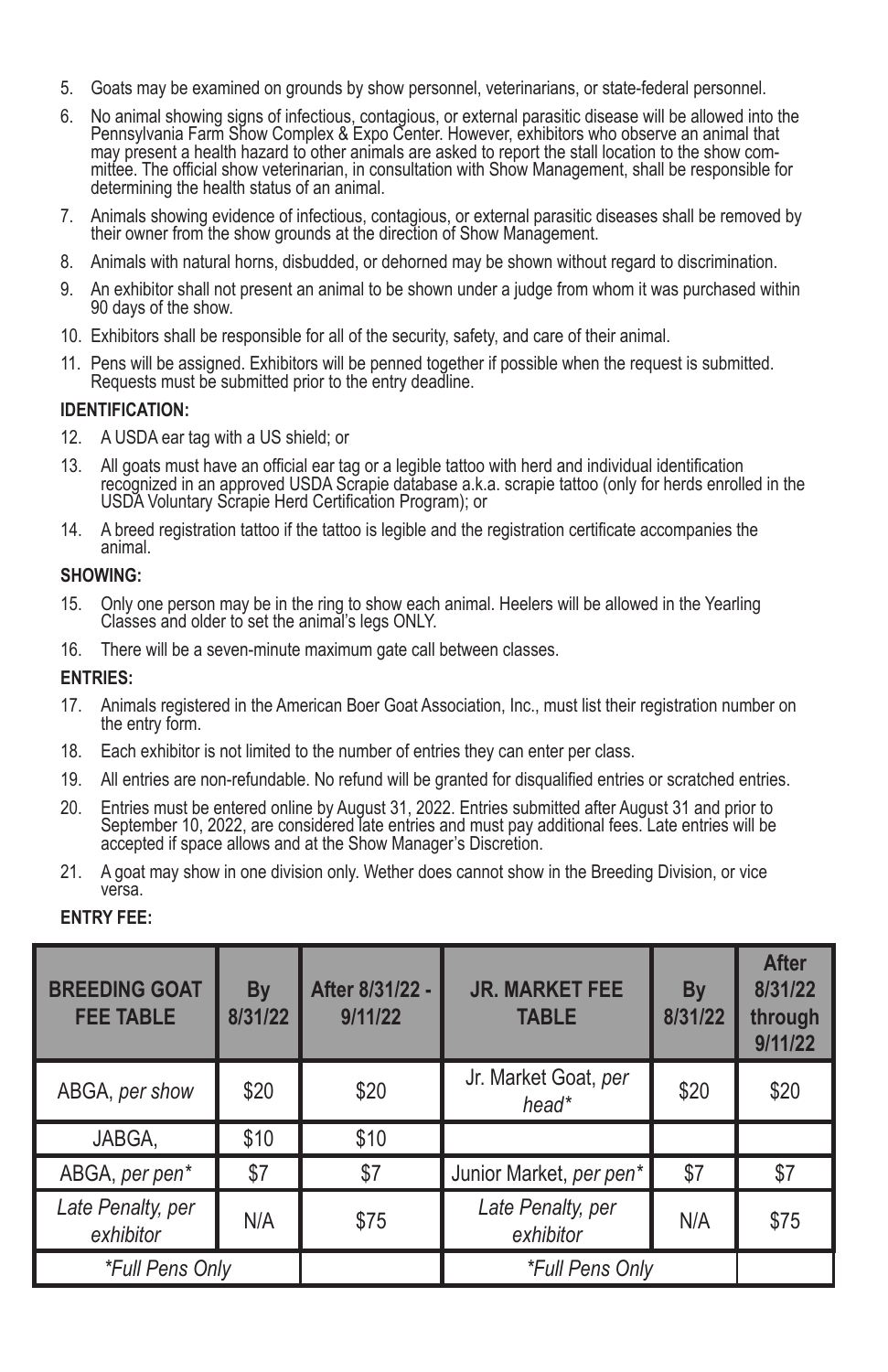- 5. Goats may be examined on grounds by show personnel, veterinarians, or state-federal personnel.
- 6. No animal showing signs of infectious, contagious, or external parasitic disease will be allowed into the Pennsylvania Farm Show Complex & Expo Center. However, exhibitors who observe an animal that may present a health hazard to other animals are asked to report the stall location to the show committee. The official show veterinarian, in consultation with Show Management, shall be responsible for determining the health status of an animal.
- 7. Animals showing evidence of infectious, contagious, or external parasitic diseases shall be removed by their owner from the show grounds at the direction of Show Management.
- 8. Animals with natural horns, disbudded, or dehorned may be shown without regard to discrimination.
- 9. An exhibitor shall not present an animal to be shown under a judge from whom it was purchased within 90 days of the show.
- 10. Exhibitors shall be responsible for all of the security, safety, and care of their animal.
- 11. Pens will be assigned. Exhibitors will be penned together if possible when the request is submitted. Requests must be submitted prior to the entry deadline.

#### **IDENTIFICATION:**

- 12. A USDA ear tag with a US shield; or
- 13. All goats must have an official ear tag or a legible tattoo with herd and individual identification recognized in an approved USDA Scrapie database a.k.a. scrapie tattoo (only for herds enrolled in the USDA Voluntary Scrapie Herd Certification Program); or
- 14. A breed registration tattoo if the tattoo is legible and the registration certificate accompanies the animal.

#### **SHOWING:**

- 15. Only one person may be in the ring to show each animal. Heelers will be allowed in the Yearling Classes and older to set the animal's legs ONLY.
- 16. There will be a seven-minute maximum gate call between classes.

#### **ENTRIES:**

- 17. Animals registered in the American Boer Goat Association, Inc., must list their registration number on the entry form.
- 18. Each exhibitor is not limited to the number of entries they can enter per class.
- 19. All entries are non-refundable. No refund will be granted for disqualified entries or scratched entries.
- 20. Entries must be entered online by August 31, 2022. Entries submitted after August 31 and prior to September 10, 2022, are considered late entries and must pay additional fees. Late entries will be accepted if space allows and at the Show Manager's Discretion.
- 21. A goat may show in one division only. Wether does cannot show in the Breeding Division, or vice versa.

## **ENTRY FEE:**

| <b>BREEDING GOAT</b><br><b>FEE TABLE</b> | <b>By</b><br>8/31/22 | After 8/31/22 -<br>9/11/22 | <b>JR. MARKET FEE</b><br><b>TABLE</b> | By<br>8/31/22 | <b>After</b><br>8/31/22<br>through<br>9/11/22 |
|------------------------------------------|----------------------|----------------------------|---------------------------------------|---------------|-----------------------------------------------|
| ABGA, per show                           | \$20                 | \$20                       | Jr. Market Goat, per<br>head*         | \$20          | \$20                                          |
| JABGA,                                   | \$10                 | \$10                       |                                       |               |                                               |
| ABGA, per pen*                           | \$7                  | \$7                        | Junior Market, per pen*               | \$7           | \$7                                           |
| Late Penalty, per<br>exhibitor           | N/A                  | \$75                       | Late Penalty, per<br>exhibitor        | N/A           | \$75                                          |
| *Full Pens Only                          |                      |                            | *Full Pens Only                       |               |                                               |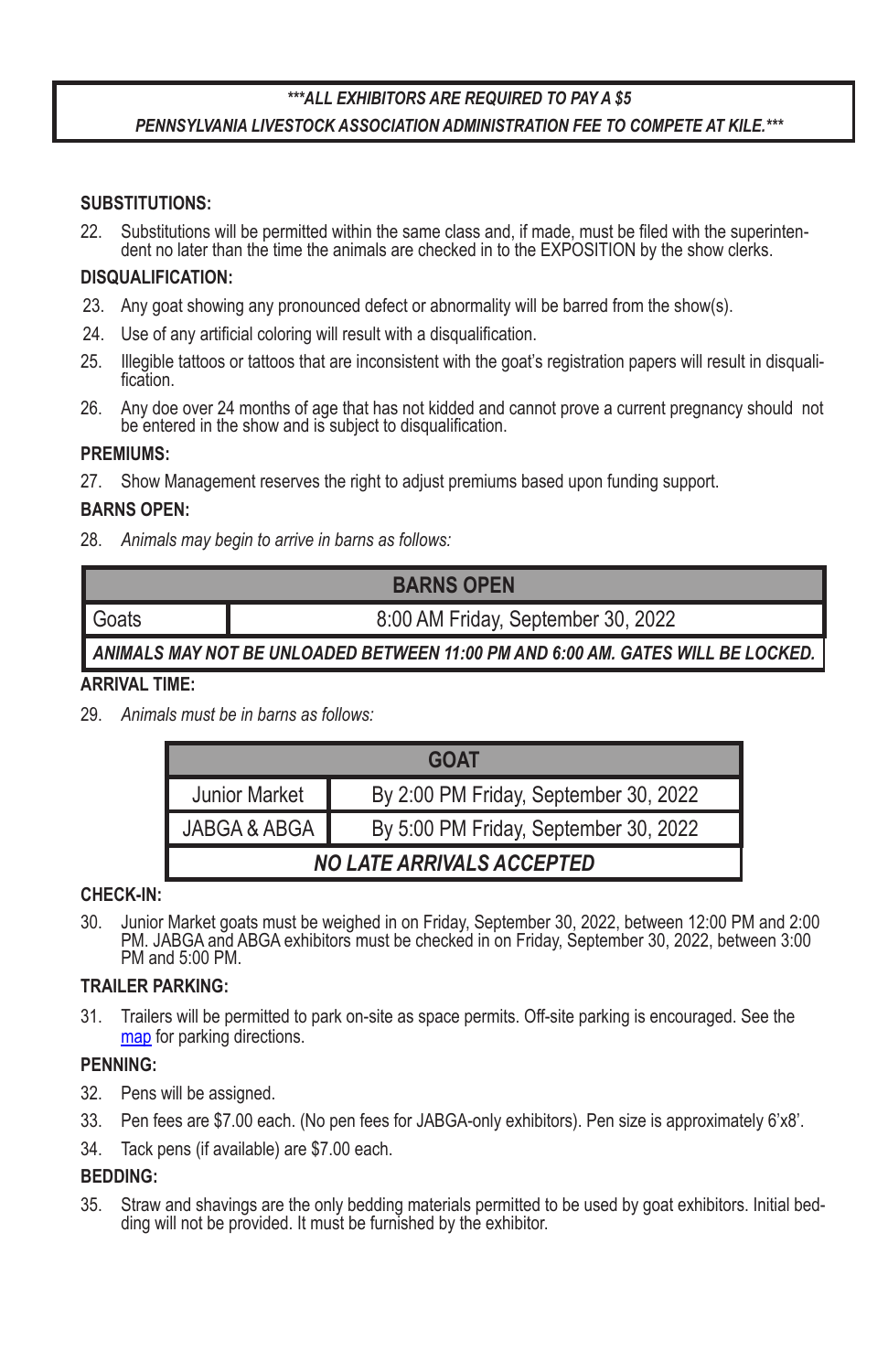# *\*\*\*ALL EXHIBITORS ARE REQUIRED TO PAY A \$5 PENNSYLVANIA LIVESTOCK ASSOCIATION ADMINISTRATION FEE TO COMPETE AT KILE.\*\*\**

## **SUBSTITUTIONS:**

22. Substitutions will be permitted within the same class and, if made, must be filed with the superinten-<br>dent no later than the time the animals are checked in to the EXPOSITION by the show clerks.

#### **DISQUALIFICATION:**

- 23. Any goat showing any pronounced defect or abnormality will be barred from the show(s).
- 24. Use of any artificial coloring will result with a disqualification.
- 25. Illegible tattoos or tattoos that are inconsistent with the goat's registration papers will result in disquali- fication.
- 26. Any doe over 24 months of age that has not kidded and cannot prove a current pregnancy should not be entered in the show and is subject to disqualification.

#### **PREMIUMS:**

27. Show Management reserves the right to adjust premiums based upon funding support.

## **BARNS OPEN:**

28. *Animals may begin to arrive in barns as follows:*

| <b>BARNS OPEN</b> |                                    |  |  |  |  |  |  |
|-------------------|------------------------------------|--|--|--|--|--|--|
| ∎ Goats           | 8:00 AM Friday, September 30, 2022 |  |  |  |  |  |  |
|                   |                                    |  |  |  |  |  |  |

# *ANIMALS MAY NOT BE UNLOADED BETWEEN 11:00 PM AND 6:00 AM. GATES WILL BE LOCKED.*

## **ARRIVAL TIME:**

29. *Animals must be in barns as follows:*

| <b>GOAT</b>                      |                                       |  |  |  |  |  |
|----------------------------------|---------------------------------------|--|--|--|--|--|
| <b>Junior Market</b>             | By 2:00 PM Friday, September 30, 2022 |  |  |  |  |  |
| JABGA & ABGA                     | By 5:00 PM Friday, September 30, 2022 |  |  |  |  |  |
| <b>NO LATE ARRIVALS ACCEPTED</b> |                                       |  |  |  |  |  |

## **CHECK-IN:**

30. Junior Market goats must be weighed in on Friday, September 30, 2022, between 12:00 PM and 2:00 PM. JABGA and ABGA exhibitors must be checked in on Friday, September 30, 2022, between 3:00 PM and 5:00 PM.

#### **TRAILER PARKING:**

31. Trailers will be permitted to park on-site as space permits. Off-site parking is encouraged. See the map for parking directions.

# **PENNING:**

- 32. Pens will be assigned.
- 33. Pen fees are \$7.00 each. (No pen fees for JABGA-only exhibitors). Pen size is approximately 6'x8'.
- 34. Tack pens (if available) are \$7.00 each.

## **BEDDING:**

35. Straw and shavings are the only bedding materials permitted to be used by goat exhibitors. Initial bed- ding will not be provided. It must be furnished by the exhibitor.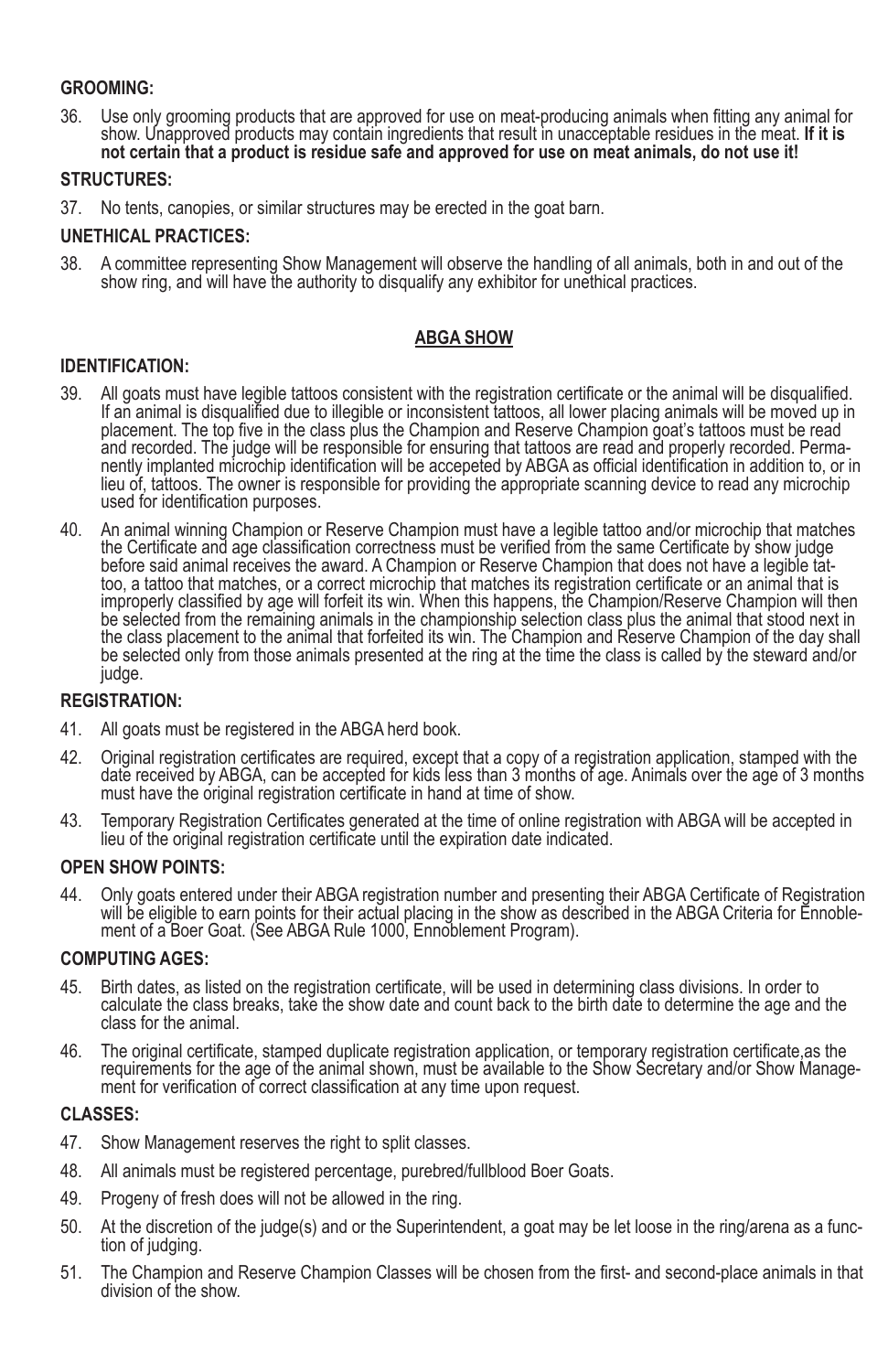# **GROOMING:**

36. Use only grooming products that are approved for use on meat-producing animals when fitting any animal for show. Unapproved products may contain ingredients that result in unacceptable residues in the meat. **If it is not certain that a product is residue safe and approved for use on meat animals, do not use it!**

## **STRUCTURES:**

37. No tents, canopies, or similar structures may be erected in the goat barn.

## **UNETHICAL PRACTICES:**

38. A committee representing Show Management will observe the handling of all animals, both in and out of the show ring, and will have the authority to disqualify any exhibitor for unethical practices.

# **ABGA SHOW**

## **IDENTIFICATION:**

- 39. All goats must have legible tattoos consistent with the registration certificate or the animal will be disqualified. If an animal is disqualified due to illegible or inconsistent tattoos, all lower placing animals will be moved up in placement. The top five in the class plus the Champion and Reserve Champion goat's tattoos must be read<br>and recorded. The judge will be responsible for ensuring that tattoos are read and properly recorded. Permanently implanted microchip identification will be accepeted by ABGA as official identification in addition to, or in lieu of, tattoos. The owner is responsible for providing the appropriate scanning device to read any microchip used for identification purposes.
- 40. An animal winning Champion or Reserve Champion must have a legible tattoo and/or microchip that matches the Certificate and age classification correctness must be verified from the same Certificate by show judge<br>before said animal receives the award. A Champion or Reserve Champion that does not have a legible tattoo, a tattoo that matches, or a correct microchip that matches its registration certificate or an animal that is improperly classified by age will forfeit its win. When this happens, the Champion/Reserve Champion will then be selected from the remaining animals in the championship selection class plus the animal that stood next in the class placement to the animal that forfeited its win. The Champion and Reserve Champion of the day shall be selected only from those animals presented at the ring at the time the class is called by the steward and/or judge.

## **REGISTRATION:**

- 41. All goats must be registered in the ABGA herd book.
- 42. Original registration certificates are required, except that a copy of a registration application, stamped with the date received by ABGA, can be accepted for kids less than 3 months of age. Animals over the age of 3 months must have the original registration certificate in hand at time of show.
- 43. Temporary Registration Certificates generated at the time of online registration with ABGA will be accepted in lieu of the original registration certificate until the expiration date indicated.

## **OPEN SHOW POINTS:**

44. Only goats entered under their ABGA registration number and presenting their ABGA Certificate of Registration will be eligible to earn points for their actual placing in the show as described in the ABGA Criteria for Ennoble-<br>ment of a Boer Goat. (See ABGA Rule 1000, Ennoblement Program).

#### **COMPUTING AGES:**

- 45. Birth dates, as listed on the registration certificate, will be used in determining class divisions. In order to calculate the class breaks, take the show date and count back to the birth date to determine the age and the class for the animal.
- 46. The original certificate, stamped duplicate registration application, or temporary registration certificate,as the requirements for the age of the animal shown, must be available to the Show Secretary and/or Show Manage- ment for verification of correct classification at any time upon request.

## **CLASSES:**

- 47. Show Management reserves the right to split classes.
- 48. All animals must be registered percentage, purebred/fullblood Boer Goats.
- 49. Progeny of fresh does will not be allowed in the ring.
- 50. At the discretion of the judge(s) and or the Superintendent, a goat may be let loose in the ring/arena as a func- tion of judging.
- 51. The Champion and Reserve Champion Classes will be chosen from the first- and second-place animals in that division of the show.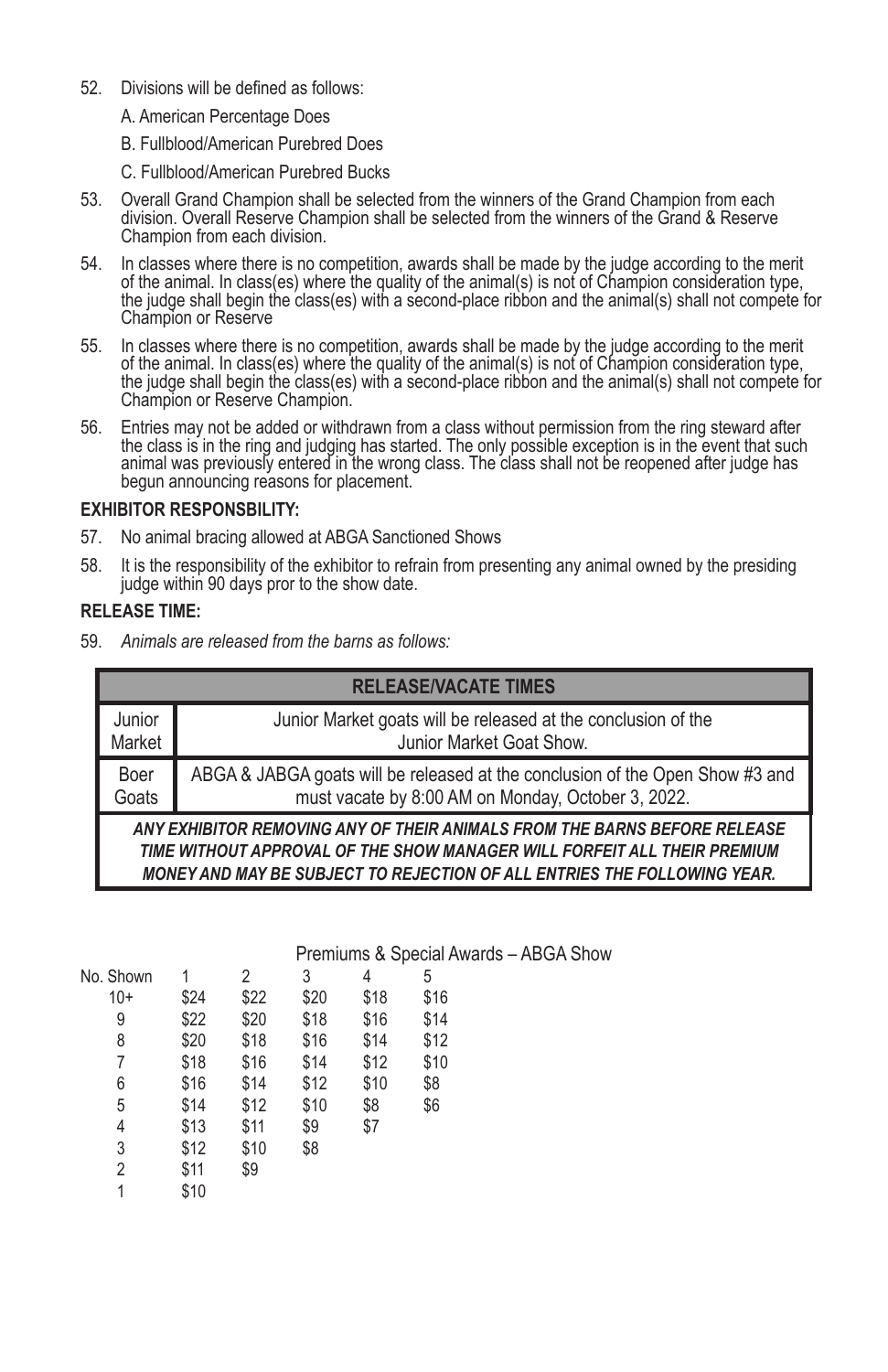- 52. Divisions will be defined as follows:
	- A. American Percentage Does
	- B. Fullblood/American Purebred Does
	- C. Fullblood/American Purebred Bucks
- 53. Overall Grand Champion shall be selected from the winners of the Grand Champion from each division. Overall Reserve Champion shall be selected from the winners of the Grand & Reserve Champion from each division.
- 54. In classes where there is no competition, awards shall be made by the judge according to the merit of the animal. In class(es) where the quality of the animal(s) is not of Champion consideration type, the judge shall begin the class(es) with a second-place ribbon and the animal(s) shall not compete for Champion or Reserve
- 55. In classes where there is no competition, awards shall be made by the judge according to the merit of the animal. In class(es) where the quality of the animal(s) is not of Champion consideration type, the judge shall begin the class(es) with a second-place ribbon and the animal(s) shall not compete for Champion or Reserve Champion.
- 56. Entries may not be added or withdrawn from a class without permission from the ring steward after the class is in the ring and judging has started. The only possible exception is in the event that such animal was previously entered in the wrong class. The class shall not be reopened after judge has begun announcing reasons for placement.

## **EXHIBITOR RESPONSBILITY:**

- 57. No animal bracing allowed at ABGA Sanctioned Shows
- 58. It is the responsibility of the exhibitor to refrain from presenting any animal owned by the presiding judge within 90 days pror to the show date.

#### **RELEASE TIME:**

59. *Animals are released from the barns as follows:*

|                                                                                                                                                                                                                                          | <b>RELEASE/VACATE TIMES</b>                                                   |  |  |  |  |  |  |  |  |  |
|------------------------------------------------------------------------------------------------------------------------------------------------------------------------------------------------------------------------------------------|-------------------------------------------------------------------------------|--|--|--|--|--|--|--|--|--|
| Junior                                                                                                                                                                                                                                   | Junior Market goats will be released at the conclusion of the                 |  |  |  |  |  |  |  |  |  |
| Market                                                                                                                                                                                                                                   | Junior Market Goat Show.                                                      |  |  |  |  |  |  |  |  |  |
| Boer                                                                                                                                                                                                                                     | ABGA & JABGA goats will be released at the conclusion of the Open Show #3 and |  |  |  |  |  |  |  |  |  |
| Goats                                                                                                                                                                                                                                    | must vacate by 8:00 AM on Monday, October 3, 2022.                            |  |  |  |  |  |  |  |  |  |
| ANY EXHIBITOR REMOVING ANY OF THEIR ANIMALS FROM THE BARNS BEFORE RELEASE<br>TIME WITHOUT APPROVAL OF THE SHOW MANAGER WILL FORFEIT ALL THEIR PREMIUM<br><b>MONEY AND MAY BE SUBJECT TO REJECTION OF ALL ENTRIES THE FOLLOWING YEAR.</b> |                                                                               |  |  |  |  |  |  |  |  |  |

|           |      |      | Premiums & Special Awards - ABGA Show |      |      |  |  |  |  |  |
|-----------|------|------|---------------------------------------|------|------|--|--|--|--|--|
| No. Shown |      |      | 3                                     | 4    | 5    |  |  |  |  |  |
| $10+$     | \$24 | \$22 | \$20                                  | \$18 | \$16 |  |  |  |  |  |
| 9         | \$22 | \$20 | \$18                                  | \$16 | \$14 |  |  |  |  |  |
| 8         | \$20 | \$18 | \$16                                  | \$14 | \$12 |  |  |  |  |  |
|           | \$18 | \$16 | \$14                                  | \$12 | \$10 |  |  |  |  |  |
| 6         | \$16 | \$14 | \$12                                  | \$10 | \$8  |  |  |  |  |  |
| 5         | \$14 | \$12 | \$10                                  | \$8  | \$6  |  |  |  |  |  |
| 4         | \$13 | \$11 | \$9                                   | \$7  |      |  |  |  |  |  |
| 3         | \$12 | \$10 | \$8                                   |      |      |  |  |  |  |  |
| 2         | \$11 | \$9  |                                       |      |      |  |  |  |  |  |
|           | \$10 |      |                                       |      |      |  |  |  |  |  |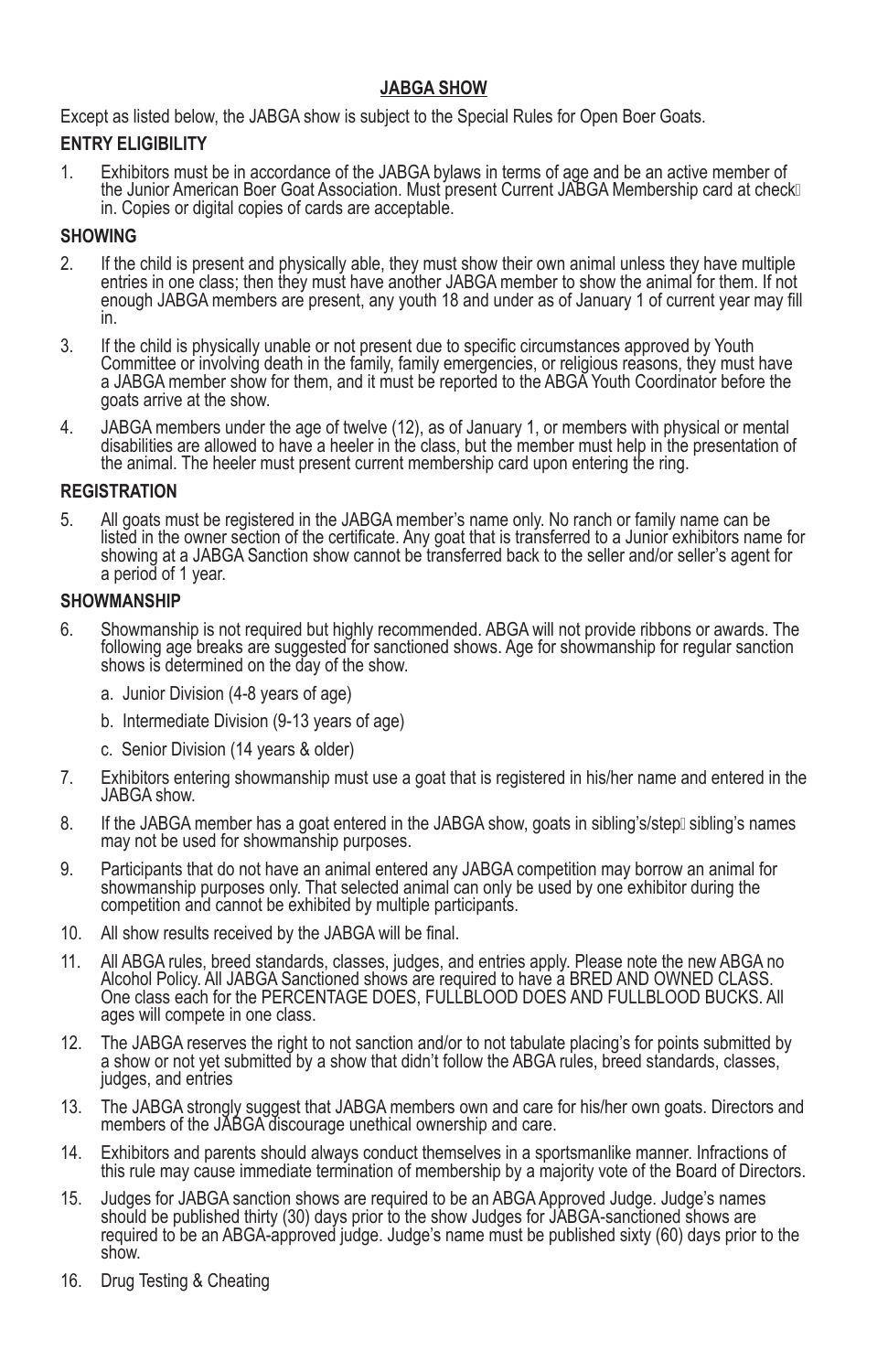# **JABGA SHOW**

Except as listed below, the JABGA show is subject to the Special Rules for Open Boer Goats.

# **ENTRY ELIGIBILITY**

1. Exhibitors must be in accordance of the JABGA bylaws in terms of age and be an active member of the Junior American Boer Goat Association. Must present Current JABGA Membership card at check in. Copies or digital copies of cards are acceptable.

## **SHOWING**

- 2. If the child is present and physically able, they must show their own animal unless they have multiple entries in one class; then they must have another JABGA member to show the animal for them. If not enough JABGA members are present, any youth 18 and under as of January 1 of current year may fill in.
- 3. If the child is physically unable or not present due to specific circumstances approved by Youth Committee or involving death in the family, family emergencies, or religious reasons, they must have a JABGA member show for them, and it must be reported to the ABGA Youth Coordinator before the goats arrive at the show.
- 4. JABGA members under the age of twelve (12), as of January 1, or members with physical or mental disabilities are allowed to have a heeler in the class, but the member must help in the presentation of the animal. The heeler must present current membership card upon entering the ring.

# **REGISTRATION**

5. All goats must be registered in the JABGA member's name only. No ranch or family name can be listed in the owner section of the certificate. Any goat that is transferred to a Junior exhibitors name for showing at a JABGA Sanction show cannot be transferred back to the seller and/or seller's agent for a period of 1 year.

## **SHOWMANSHIP**

- 6. Showmanship is not required but highly recommended. ABGA will not provide ribbons or awards. The following age breaks are suggested for sanctioned shows. Age for showmanship for regular sanction shows is determined on the day of the show.
	- a. Junior Division (4-8 years of age)
	- b. Intermediate Division (9-13 years of age)
	- c. Senior Division (14 years & older)
- 7. Exhibitors entering showmanship must use a goat that is registered in his/her name and entered in the JABGA show.
- 8. If the JABGA member has a goat entered in the JABGA show, goats in sibling's/stepli sibling's names may not be used for showmanship purposes.
- 9. Participants that do not have an animal entered any JABGA competition may borrow an animal for showmanship purposes only. That selected animal can only be used by one exhibitor during the competition and cannot be exhibited by multiple participants.
- 10. All show results received by the JABGA will be final.
- 11. All ABGA rules, breed standards, classes, judges, and entries apply. Please note the new ABGA no Alcohol Policy. All JABGA Sanctioned shows are required to have a BRED AND OWNED CLASS. One class each for the PERCENTAGE DOES, FULLBLOOD DOES AND FULLBLOOD BUCKS. All ages will compete in one class.
- 12. The JABGA reserves the right to not sanction and/or to not tabulate placing's for points submitted by a show or not yet submitted by a show that didn't follow the ABGA rules, breed standards, classes, judges, and entries
- 13. The JABGA strongly suggest that JABGA members own and care for his/her own goats. Directors and members of the JABGA discourage unethical ownership and care.
- 14. Exhibitors and parents should always conduct themselves in a sportsmanlike manner. Infractions of this rule may cause immediate termination of membership by a majority vote of the Board of Directors.
- 15. Judges for JABGA sanction shows are required to be an ABGA Approved Judge. Judge's names should be published thirty (30) days prior to the show Judges for JABGA-sanctioned shows are required to be an ABGA-approved judge. Judge's name must be published sixty (60) days prior to the show.
- 16. Drug Testing & Cheating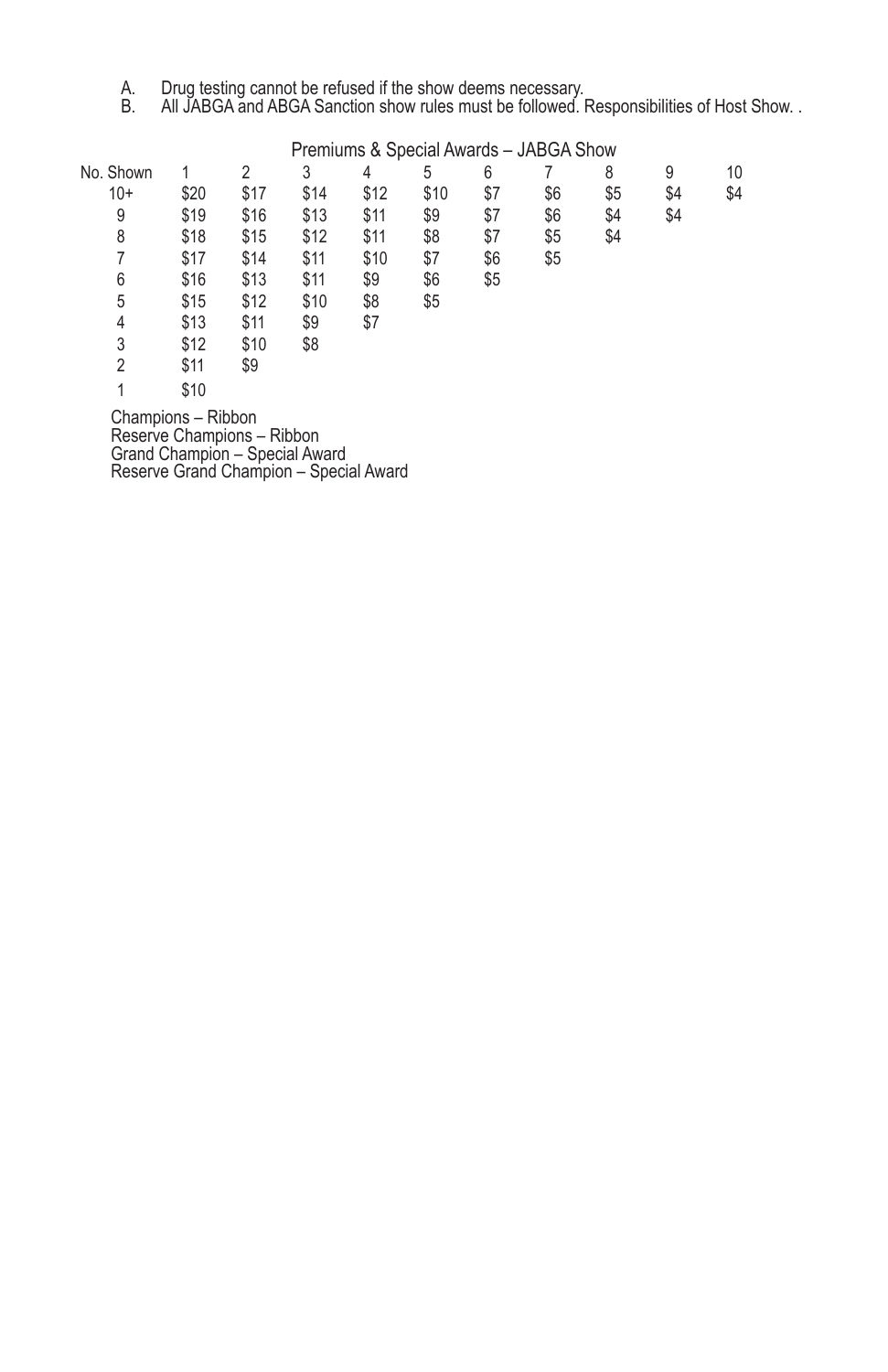- A. Drug testing cannot be refused if the show deems necessary.
- B. All JABGA and ABGA Sanction show rules must be followed. Responsibilities of Host Show. .

|           | Premiums & Special Awards - JABGA Show |      |      |      |      |     |     |     |     |     |  |  |
|-----------|----------------------------------------|------|------|------|------|-----|-----|-----|-----|-----|--|--|
| No. Shown |                                        | 2    | 3    | 4    | 5    | 6   |     | 8   | 9   | 10  |  |  |
| $10+$     | \$20                                   | \$17 | \$14 | \$12 | \$10 | \$7 | \$6 | \$5 | \$4 | \$4 |  |  |
| 9         | \$19                                   | \$16 | \$13 | \$11 | \$9  | \$7 | \$6 | \$4 | \$4 |     |  |  |
| 8         | \$18                                   | \$15 | \$12 | \$11 | \$8  | \$7 | \$5 | \$4 |     |     |  |  |
| 7         | \$17                                   | \$14 | \$11 | \$10 | \$7  | \$6 | \$5 |     |     |     |  |  |
| 6         | \$16                                   | \$13 | \$11 | \$9  | \$6  | \$5 |     |     |     |     |  |  |
| 5         | \$15                                   | \$12 | \$10 | \$8  | \$5  |     |     |     |     |     |  |  |
| 4         | \$13                                   | \$11 | \$9  | \$7  |      |     |     |     |     |     |  |  |
| 3         | \$12                                   | \$10 | \$8  |      |      |     |     |     |     |     |  |  |
| 2         | \$11                                   | \$9  |      |      |      |     |     |     |     |     |  |  |
|           | \$10                                   |      |      |      |      |     |     |     |     |     |  |  |

Champions – Ribbon Reserve Champions – Ribbon Grand Champion – Special Award Reserve Grand Champion – Special Award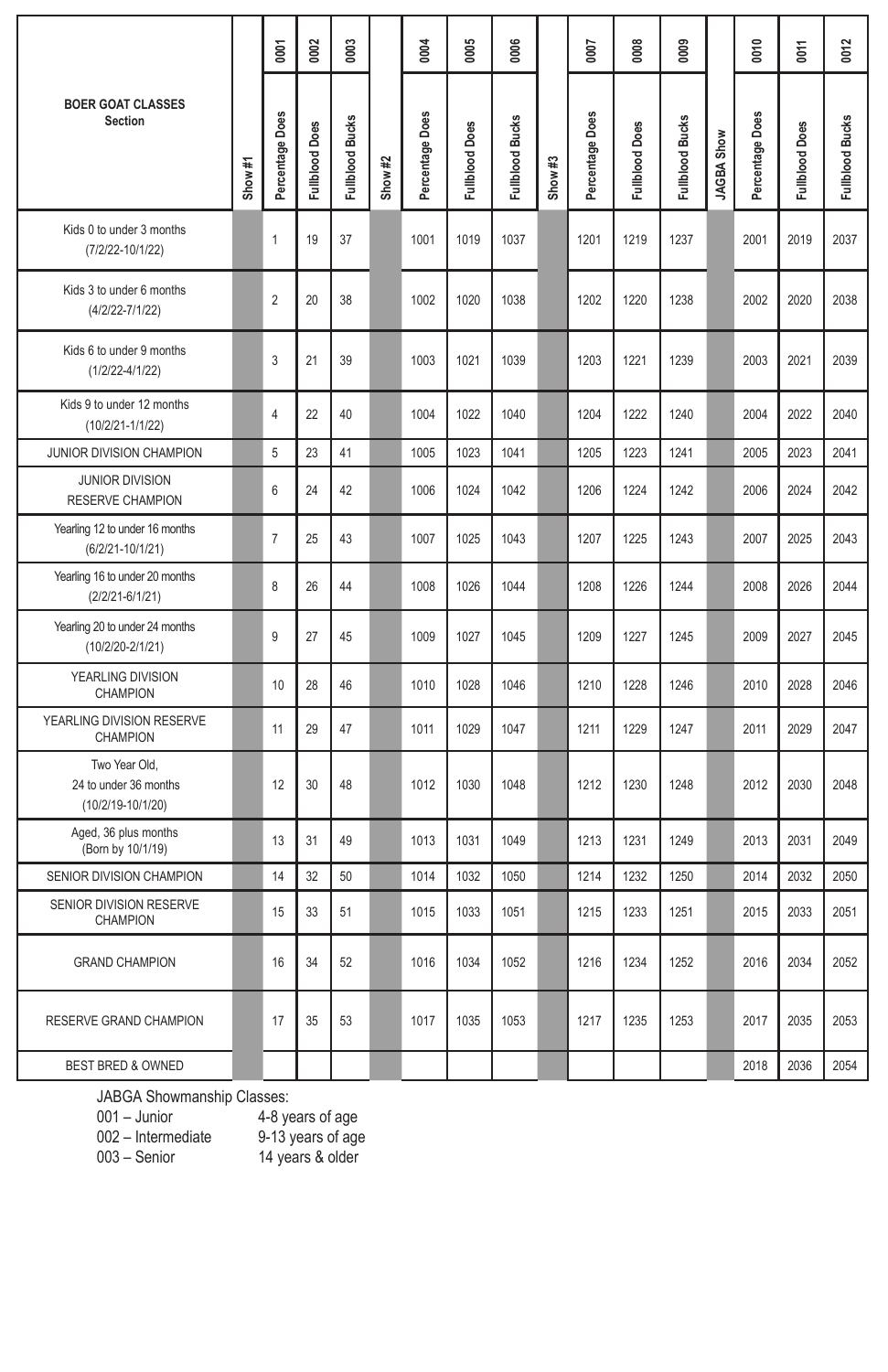|                                                             |         | 0001            | 0002                  | 0003                   |         | 0004            | 0005           | 0006            |         | 0007            | 0008                  | 0000            |                   | 0010            | <b>DO11</b>    | 0012            |
|-------------------------------------------------------------|---------|-----------------|-----------------------|------------------------|---------|-----------------|----------------|-----------------|---------|-----------------|-----------------------|-----------------|-------------------|-----------------|----------------|-----------------|
| <b>BOER GOAT CLASSES</b><br><b>Section</b>                  | Show #1 | Percentage Does | <b>Fullblood Does</b> | <b>Fullblood Bucks</b> | Show #2 | Percentage Does | Fullblood Does | Fullblood Bucks | Show #3 | Percentage Does | <b>Fullblood Does</b> | Fullblood Bucks | <b>JAGBA Show</b> | Percentage Does | Fullblood Does | Fullblood Bucks |
| Kids 0 to under 3 months<br>(7/2/22-10/1/22)                |         | $\mathbf{1}$    | 19                    | 37                     |         | 1001            | 1019           | 1037            |         | 1201            | 1219                  | 1237            |                   | 2001            | 2019           | 2037            |
| Kids 3 to under 6 months<br>$(4/2/22 - 7/1/22)$             |         | $\overline{2}$  | 20                    | 38                     |         | 1002            | 1020           | 1038            |         | 1202            | 1220                  | 1238            |                   | 2002            | 2020           | 2038            |
| Kids 6 to under 9 months<br>$(1/2/22 - 4/1/22)$             |         | 3               | 21                    | 39                     |         | 1003            | 1021           | 1039            |         | 1203            | 1221                  | 1239            |                   | 2003            | 2021           | 2039            |
| Kids 9 to under 12 months<br>(10/2/21-1/1/22)               |         | 4               | 22                    | 40                     |         | 1004            | 1022           | 1040            |         | 1204            | 1222                  | 1240            |                   | 2004            | 2022           | 2040            |
| JUNIOR DIVISION CHAMPION                                    |         | 5               | 23                    | 41                     |         | 1005            | 1023           | 1041            |         | 1205            | 1223                  | 1241            |                   | 2005            | 2023           | 2041            |
| <b>JUNIOR DIVISION</b><br>RESERVE CHAMPION                  |         | 6               | 24                    | 42                     |         | 1006            | 1024           | 1042            |         | 1206            | 1224                  | 1242            |                   | 2006            | 2024           | 2042            |
| Yearling 12 to under 16 months<br>$(6/2/21 - 10/1/21)$      |         | $\overline{7}$  | 25                    | 43                     |         | 1007            | 1025           | 1043            |         | 1207            | 1225                  | 1243            |                   | 2007            | 2025           | 2043            |
| Yearling 16 to under 20 months<br>$(2/2/21 - 6/1/21)$       |         | 8               | 26                    | 44                     |         | 1008            | 1026           | 1044            |         | 1208            | 1226                  | 1244            |                   | 2008            | 2026           | 2044            |
| Yearling 20 to under 24 months<br>(10/2/20-2/1/21)          |         | 9               | 27                    | 45                     |         | 1009            | 1027           | 1045            |         | 1209            | 1227                  | 1245            |                   | 2009            | 2027           | 2045            |
| YEARLING DIVISION<br>CHAMPION                               |         | 10              | 28                    | 46                     |         | 1010            | 1028           | 1046            |         | 1210            | 1228                  | 1246            |                   | 2010            | 2028           | 2046            |
| YEARLING DIVISION RESERVE<br>CHAMPION                       |         | 11              | 29                    | 47                     |         | 1011            | 1029           | 1047            |         | 1211            | 1229                  | 1247            |                   | 2011            | 2029           | 2047            |
| Two Year Old,<br>24 to under 36 months<br>(10/2/19-10/1/20) |         | 12              | 30                    | 48                     |         | 1012            | 1030           | 1048            |         | 1212            | 1230                  | 1248            |                   | 2012            | 2030           | 2048            |
| Aged, 36 plus months<br>(Born by 10/1/19)                   |         | 13              | 31                    | 49                     |         | 1013            | 1031           | 1049            |         | 1213            | 1231                  | 1249            |                   | 2013            | 2031           | 2049            |
| SENIOR DIVISION CHAMPION                                    |         | 14              | 32                    | 50                     |         | 1014            | 1032           | 1050            |         | 1214            | 1232                  | 1250            |                   | 2014            | 2032           | 2050            |
| SENIOR DIVISION RESERVE<br><b>CHAMPION</b>                  |         | 15              | 33                    | 51                     |         | 1015            | 1033           | 1051            |         | 1215            | 1233                  | 1251            |                   | 2015            | 2033           | 2051            |
| <b>GRAND CHAMPION</b>                                       |         | 16              | 34                    | 52                     |         | 1016            | 1034           | 1052            |         | 1216            | 1234                  | 1252            |                   | 2016            | 2034           | 2052            |
| RESERVE GRAND CHAMPION                                      |         | 17              | 35                    | 53                     |         | 1017            | 1035           | 1053            |         | 1217            | 1235                  | 1253            |                   | 2017            | 2035           | 2053            |
| <b>BEST BRED &amp; OWNED</b>                                |         |                 |                       |                        |         |                 |                |                 |         |                 |                       |                 |                   | 2018            | 2036           | 2054            |

JABGA Showmanship Classes:

001 – Junior and 4-8 years of age

003 – Senior 14 years & older

002 – Intermediate 9-13 years of age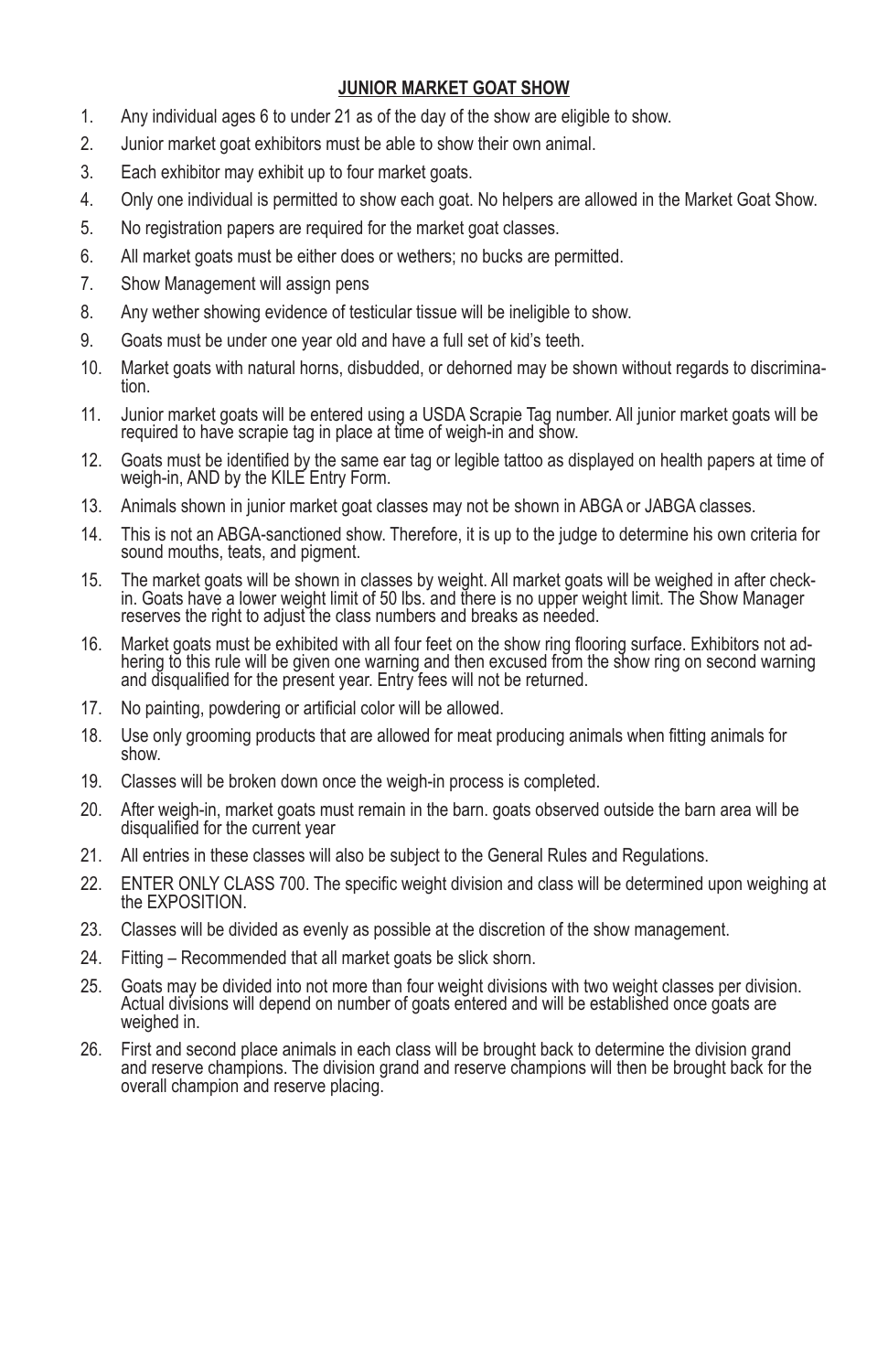# **JUNIOR MARKET GOAT SHOW**

- 1. Any individual ages 6 to under 21 as of the day of the show are eligible to show.
- 2. Junior market goat exhibitors must be able to show their own animal.
- 3. Each exhibitor may exhibit up to four market goats.
- 4. Only one individual is permitted to show each goat. No helpers are allowed in the Market Goat Show.
- 5. No registration papers are required for the market goat classes.
- 6. All market goats must be either does or wethers; no bucks are permitted.
- 7. Show Management will assign pens
- 8. Any wether showing evidence of testicular tissue will be ineligible to show.
- 9. Goats must be under one year old and have a full set of kid's teeth.
- 10. Market goats with natural horns, disbudded, or dehorned may be shown without regards to discrimina- tion.
- 11. Junior market goats will be entered using a USDA Scrapie Tag number. All junior market goats will be required to have scrapie tag in place at time of weigh-in and show.
- 12. Goats must be identified by the same ear tag or legible tattoo as displayed on health papers at time of weigh-in, AND by the KILE Entry Form.
- 13. Animals shown in junior market goat classes may not be shown in ABGA or JABGA classes.
- 14. This is not an ABGA-sanctioned show. Therefore, it is up to the judge to determine his own criteria for sound mouths, teats, and pigment.
- 15. The market goats will be shown in classes by weight. All market goats will be weighed in after checkin. Goats have a lower weight limit of 50 lbs. and there is no upper weight limit. The Show Manager reserves the right to adjust the class numbers and breaks as needed.
- 16. Market goats must be exhibited with all four feet on the show ring flooring surface. Exhibitors not ad- hering to this rule will be given one warning and then excused from the show ring on second warning and disqualified for the present year. Entry fees will not be returned.
- 17. No painting, powdering or artificial color will be allowed.
- 18. Use only grooming products that are allowed for meat producing animals when fitting animals for show.
- 19. Classes will be broken down once the weigh-in process is completed.
- 20. After weigh-in, market goats must remain in the barn. goats observed outside the barn area will be disqualified for the current year
- 21. All entries in these classes will also be subject to the General Rules and Regulations.
- 22. ENTER ONLY CLASS 700. The specific weight division and class will be determined upon weighing at the EXPOSITION.
- 23. Classes will be divided as evenly as possible at the discretion of the show management.
- 24. Fitting Recommended that all market goats be slick shorn.
- 25. Goats may be divided into not more than four weight divisions with two weight classes per division. Actual divisions will depend on number of goats entered and will be established once goats are weighed in.
- 26. First and second place animals in each class will be brought back to determine the division grand and reserve champions. The division grand and reserve champions will then be brought back for the overall champion and reserve placing.